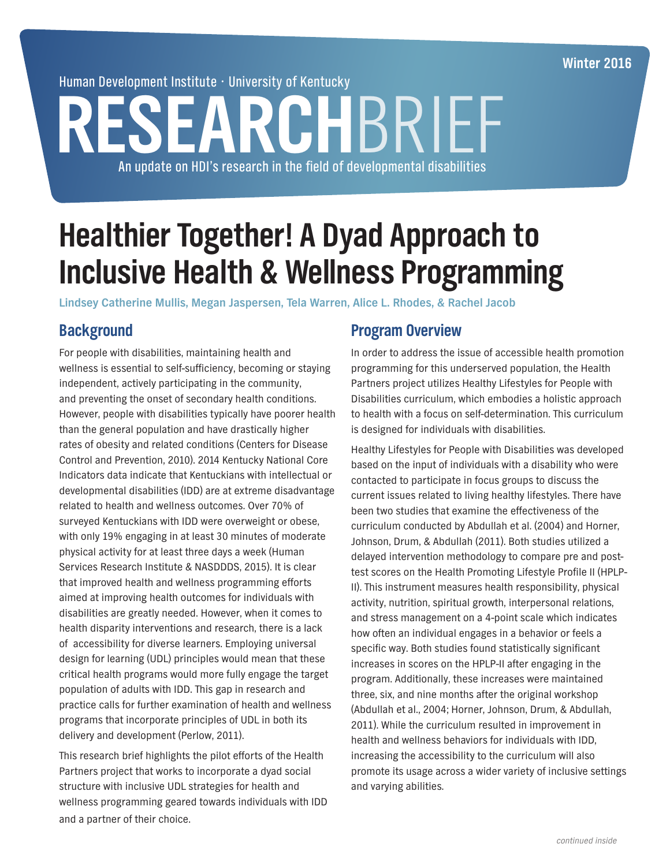**Winter 2016**

Human Development Institute • University of Kentucky

# **RESEARCH**BRIEF An update on HDI's research in the field of developmental disabilities

## **Healthier Together! A Dyad Approach to Inclusive Health & Wellness Programming**

**Lindsey Catherine Mullis, Megan Jaspersen, Tela Warren, Alice L. Rhodes, & Rachel Jacob**

## **Background**

For people with disabilities, maintaining health and wellness is essential to self-sufficiency, becoming or staying independent, actively participating in the community, and preventing the onset of secondary health conditions. However, people with disabilities typically have poorer health than the general population and have drastically higher rates of obesity and related conditions (Centers for Disease Control and Prevention, 2010). 2014 Kentucky National Core Indicators data indicate that Kentuckians with intellectual or developmental disabilities (IDD) are at extreme disadvantage related to health and wellness outcomes. Over 70% of surveyed Kentuckians with IDD were overweight or obese, with only 19% engaging in at least 30 minutes of moderate physical activity for at least three days a week (Human Services Research Institute & NASDDDS, 2015). It is clear that improved health and wellness programming efforts aimed at improving health outcomes for individuals with disabilities are greatly needed. However, when it comes to health disparity interventions and research, there is a lack of accessibility for diverse learners. Employing universal design for learning (UDL) principles would mean that these critical health programs would more fully engage the target population of adults with IDD. This gap in research and practice calls for further examination of health and wellness programs that incorporate principles of UDL in both its delivery and development (Perlow, 2011).

This research brief highlights the pilot efforts of the Health Partners project that works to incorporate a dyad social structure with inclusive UDL strategies for health and wellness programming geared towards individuals with IDD and a partner of their choice.

### **Program Overview**

In order to address the issue of accessible health promotion programming for this underserved population, the Health Partners project utilizes Healthy Lifestyles for People with Disabilities curriculum, which embodies a holistic approach to health with a focus on self-determination. This curriculum is designed for individuals with disabilities.

Healthy Lifestyles for People with Disabilities was developed based on the input of individuals with a disability who were contacted to participate in focus groups to discuss the current issues related to living healthy lifestyles. There have been two studies that examine the effectiveness of the curriculum conducted by Abdullah et al. (2004) and Horner, Johnson, Drum, & Abdullah (2011). Both studies utilized a delayed intervention methodology to compare pre and posttest scores on the Health Promoting Lifestyle Profile II (HPLP-II). This instrument measures health responsibility, physical activity, nutrition, spiritual growth, interpersonal relations, and stress management on a 4-point scale which indicates how often an individual engages in a behavior or feels a specific way. Both studies found statistically significant increases in scores on the HPLP-II after engaging in the program. Additionally, these increases were maintained three, six, and nine months after the original workshop (Abdullah et al., 2004; Horner, Johnson, Drum, & Abdullah, 2011). While the curriculum resulted in improvement in health and wellness behaviors for individuals with IDD, increasing the accessibility to the curriculum will also promote its usage across a wider variety of inclusive settings and varying abilities.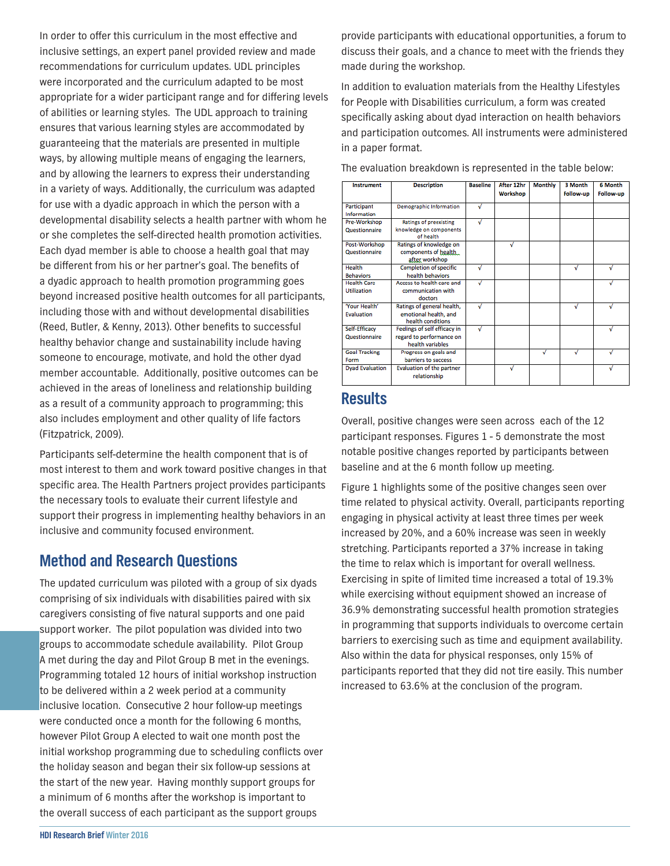In order to offer this curriculum in the most effective and inclusive settings, an expert panel provided review and made recommendations for curriculum updates. UDL principles were incorporated and the curriculum adapted to be most appropriate for a wider participant range and for differing levels of abilities or learning styles. The UDL approach to training ensures that various learning styles are accommodated by guaranteeing that the materials are presented in multiple ways, by allowing multiple means of engaging the learners, and by allowing the learners to express their understanding in a variety of ways. Additionally, the curriculum was adapted for use with a dyadic approach in which the person with a developmental disability selects a health partner with whom he or she completes the self-directed health promotion activities. Each dyad member is able to choose a health goal that may be different from his or her partner's goal. The benefits of a dyadic approach to health promotion programming goes beyond increased positive health outcomes for all participants, including those with and without developmental disabilities (Reed, Butler, & Kenny, 2013). Other benefits to successful healthy behavior change and sustainability include having someone to encourage, motivate, and hold the other dyad member accountable. Additionally, positive outcomes can be achieved in the areas of loneliness and relationship building as a result of a community approach to programming; this also includes employment and other quality of life factors (Fitzpatrick, 2009).

Participants self-determine the health component that is of most interest to them and work toward positive changes in that specific area. The Health Partners project provides participants the necessary tools to evaluate their current lifestyle and support their progress in implementing healthy behaviors in an inclusive and community focused environment.

## **Method and Research Questions**

The updated curriculum was piloted with a group of six dyads comprising of six individuals with disabilities paired with six caregivers consisting of five natural supports and one paid support worker. The pilot population was divided into two groups to accommodate schedule availability. Pilot Group A met during the day and Pilot Group B met in the evenings. Programming totaled 12 hours of initial workshop instruction to be delivered within a 2 week period at a community inclusive location. Consecutive 2 hour follow-up meetings were conducted once a month for the following 6 months, however Pilot Group A elected to wait one month post the initial workshop programming due to scheduling conflicts over the holiday season and began their six follow-up sessions at the start of the new year. Having monthly support groups for a minimum of 6 months after the workshop is important to the overall success of each participant as the support groups

provide participants with educational opportunities, a forum to discuss their goals, and a chance to meet with the friends they made during the workshop.

In addition to evaluation materials from the Healthy Lifestyles for People with Disabilities curriculum, a form was created specifically asking about dyad interaction on health behaviors and participation outcomes. All instruments were administered in a paper format.

| Instrument                                       | <b>Description</b>                                                           | <b>Baseline</b> | After 12hr<br>Workshop | <b>Monthly</b> | 3 Month<br>Follow-up | 6 Month<br>Follow-up |
|--------------------------------------------------|------------------------------------------------------------------------------|-----------------|------------------------|----------------|----------------------|----------------------|
| Participant<br>Information                       | <b>Demographic Information</b>                                               | √               |                        |                |                      |                      |
| Pre-Workshop<br><b>Questionnaire</b>             | <b>Ratings of preexisting</b><br>knowledge on components<br>of health        | √               |                        |                |                      |                      |
| Post-Workshop<br>Questionnaire                   | Ratings of knowledge on<br>components of health<br>after workshop            |                 | √                      |                |                      |                      |
| Health<br><b>Behaviors</b>                       | <b>Completion of specific</b><br>health behaviors                            | √               |                        |                | √                    | √                    |
| <b>Health Care</b><br><b>Utilization</b>         | Access to health care and<br>communication with<br>doctors                   | √               |                        |                |                      |                      |
| 'Your Health'<br><b><i><u>Evaluation</u></i></b> | Ratings of general health,<br>emotional health, and<br>health conditions     | √               |                        |                | √                    | √                    |
| Self-Efficacy<br><b>Ouestionnaire</b>            | Feelings of self efficacy in<br>regard to performance on<br>health variables | √               |                        |                |                      | √                    |
| <b>Goal Tracking</b><br>Form                     | Progress on goals and<br>barriers to success                                 |                 |                        | √              | √                    |                      |
| <b>Dyad Evaluation</b>                           | <b>Evaluation of the partner</b><br>relationship                             |                 | √                      |                |                      | √                    |

The evaluation breakdown is represented in the table below:

### **Results**

Overall, positive changes were seen across each of the 12 participant responses. Figures 1 - 5 demonstrate the most notable positive changes reported by participants between baseline and at the 6 month follow up meeting.

Figure 1 highlights some of the positive changes seen over time related to physical activity. Overall, participants reporting engaging in physical activity at least three times per week increased by 20%, and a 60% increase was seen in weekly stretching. Participants reported a 37% increase in taking the time to relax which is important for overall wellness. Exercising in spite of limited time increased a total of 19.3% while exercising without equipment showed an increase of 36.9% demonstrating successful health promotion strategies in programming that supports individuals to overcome certain barriers to exercising such as time and equipment availability. Also within the data for physical responses, only 15% of participants reported that they did not tire easily. This number increased to 63.6% at the conclusion of the program.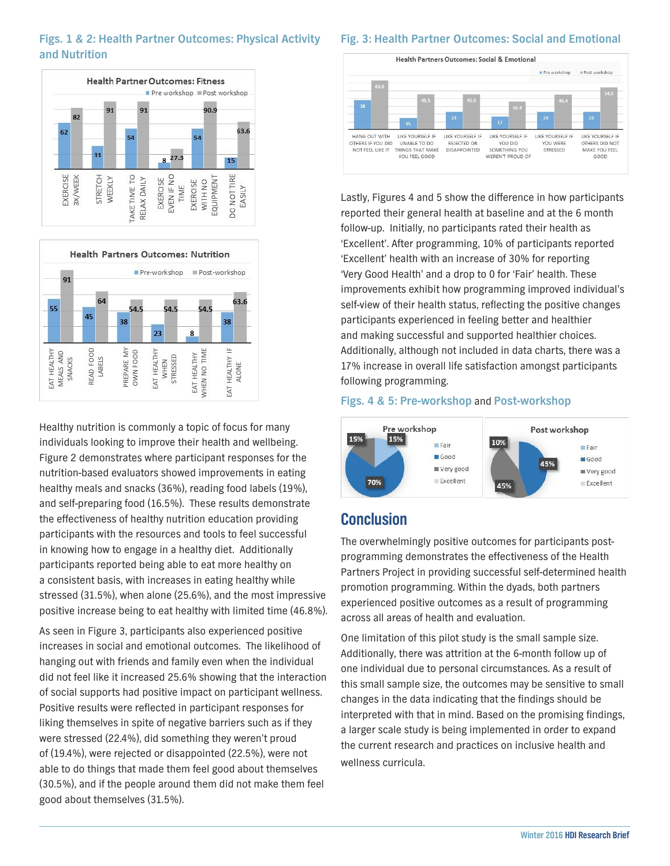#### **Figs. 1 & 2: Health Partner Outcomes: Physical Activity and Nutrition**





Healthy nutrition is commonly a topic of focus for many individuals looking to improve their health and wellbeing. Figure 2 demonstrates where participant responses for the nutrition-based evaluators showed improvements in eating healthy meals and snacks (36%), reading food labels (19%), and self-preparing food (16.5%). These results demonstrate the effectiveness of healthy nutrition education providing participants with the resources and tools to feel successful in knowing how to engage in a healthy diet. Additionally participants reported being able to eat more healthy on a consistent basis, with increases in eating healthy while stressed (31.5%), when alone (25.6%), and the most impressive positive increase being to eat healthy with limited time (46.8%).

As seen in Figure 3, participants also experienced positive increases in social and emotional outcomes. The likelihood of hanging out with friends and family even when the individual did not feel like it increased 25.6% showing that the interaction of social supports had positive impact on participant wellness. Positive results were reflected in participant responses for liking themselves in spite of negative barriers such as if they were stressed (22.4%), did something they weren't proud of (19.4%), were rejected or disappointed (22.5%), were not able to do things that made them feel good about themselves (30.5%), and if the people around them did not make them feel good about themselves (31.5%).

#### **Fig. 3: Health Partner Outcomes: Social and Emotional**



Lastly, Figures 4 and 5 show the difference in how participants reported their general health at baseline and at the 6 month follow-up. Initially, no participants rated their health as 'Excellent'. After programming, 10% of participants reported 'Excellent' health with an increase of 30% for reporting 'Very Good Health' and a drop to 0 for 'Fair' health. These improvements exhibit how programming improved individual's self-view of their health status, reflecting the positive changes participants experienced in feeling better and healthier and making successful and supported healthier choices. Additionally, although not included in data charts, there was a 17% increase in overall life satisfaction amongst participants following programming.

#### **Figs. 4 & 5: Pre-workshop** and **Post-workshop**



## **Conclusion**

The overwhelmingly positive outcomes for participants postprogramming demonstrates the effectiveness of the Health Partners Project in providing successful self-determined health promotion programming. Within the dyads, both partners experienced positive outcomes as a result of programming across all areas of health and evaluation.

One limitation of this pilot study is the small sample size. Additionally, there was attrition at the 6-month follow up of one individual due to personal circumstances. As a result of this small sample size, the outcomes may be sensitive to small changes in the data indicating that the findings should be interpreted with that in mind. Based on the promising findings, a larger scale study is being implemented in order to expand the current research and practices on inclusive health and wellness curricula.